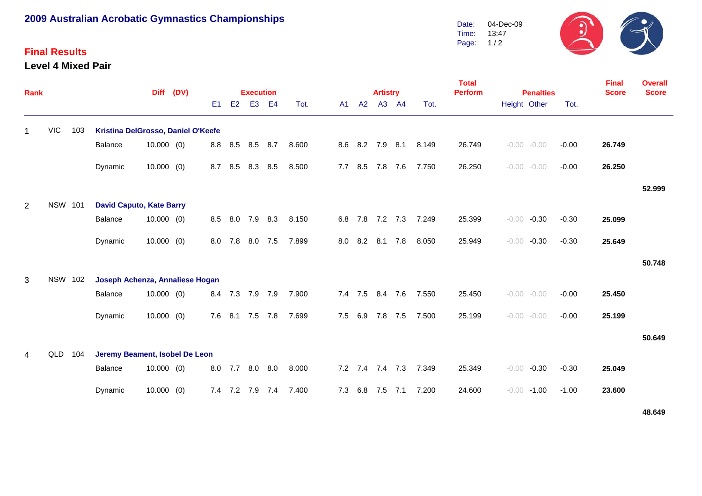# **2009 Australian Acrobatic Gymnastics Championships**

### **Final Results**

**Level 4 Mixed Pair**



| <b>Rank</b>    |                |     |                                    | <b>Diff</b>  | (DV) |     |                | <b>Execution</b> |                |       |     |  |             | <b>Artistry</b> |     |       | <b>Total</b><br><b>Perform</b> | <b>Penalties</b>   |         | <b>Final</b><br><b>Score</b> | <b>Overall</b><br><b>Score</b> |
|----------------|----------------|-----|------------------------------------|--------------|------|-----|----------------|------------------|----------------|-------|-----|--|-------------|-----------------|-----|-------|--------------------------------|--------------------|---------|------------------------------|--------------------------------|
|                |                |     |                                    |              |      | E1  | E <sub>2</sub> | E <sub>3</sub>   | E <sub>4</sub> | Tot.  | A1  |  | A2          | A3 A4           |     | Tot.  |                                | Height Other       | Tot.    |                              |                                |
| $\mathbf{1}$   | <b>VIC</b>     | 103 | Kristina DelGrosso, Daniel O'Keefe |              |      |     |                |                  |                |       |     |  |             |                 |     |       |                                |                    |         |                              |                                |
|                |                |     | Balance                            | $10.000$ (0) |      | 8.8 | 8.5            | 8.5 8.7          |                | 8.600 |     |  |             | 8.6 8.2 7.9 8.1 |     | 8.149 | 26.749                         | $-0.00 - 0.00$     | $-0.00$ | 26.749                       |                                |
|                |                |     | Dynamic                            | $10.000$ (0) |      | 8.7 | 8.5            | 8.3              | 8.5            | 8.500 | 7.7 |  | 8.5         | 7.8             | 7.6 | 7.750 | 26.250                         | $-0.00 - 0.00$     | $-0.00$ | 26.250                       |                                |
|                |                |     |                                    |              |      |     |                |                  |                |       |     |  |             |                 |     |       |                                |                    |         |                              | 52.999                         |
| $\overline{2}$ | <b>NSW 101</b> |     | <b>David Caputo, Kate Barry</b>    |              |      |     |                |                  |                |       |     |  |             |                 |     |       |                                |                    |         |                              |                                |
|                |                |     | Balance                            | $10.000$ (0) |      | 8.5 | 8.0            | 7.9              | 8.3            | 8.150 | 6.8 |  | 7.8         | 7.2 7.3         |     | 7.249 | 25.399                         | $-0.00$<br>$-0.30$ | $-0.30$ | 25.099                       |                                |
|                |                |     | Dynamic                            | $10.000$ (0) |      | 8.0 | 7.8            | 8.0 7.5          |                | 7.899 | 8.0 |  | 8.2 8.1     |                 | 7.8 | 8.050 | 25.949                         | $-0.00$<br>$-0.30$ | $-0.30$ | 25.649                       |                                |
|                |                |     |                                    |              |      |     |                |                  |                |       |     |  |             |                 |     |       |                                |                    |         |                              | 50.748                         |
| 3              | <b>NSW 102</b> |     | Joseph Achenza, Annaliese Hogan    |              |      |     |                |                  |                |       |     |  |             |                 |     |       |                                |                    |         |                              |                                |
|                |                |     | Balance                            | 10.000(0)    |      | 8.4 |                | 7.3 7.9 7.9      |                | 7.900 |     |  | $7.4$ $7.5$ | 8.4             | 7.6 | 7.550 | 25.450                         | $-0.00 - 0.00$     | $-0.00$ | 25.450                       |                                |
|                |                |     | Dynamic                            | $10.000$ (0) |      | 7.6 | 8.1            | 7.5              | 7.8            | 7.699 | 7.5 |  | 6.9         | 7.8             | 7.5 | 7.500 | 25.199                         | $-0.00 - 0.00$     | $-0.00$ | 25.199                       |                                |
|                |                |     |                                    |              |      |     |                |                  |                |       |     |  |             |                 |     |       |                                |                    |         |                              | 50.649                         |
| 4              | QLD 104        |     | Jeremy Beament, Isobel De Leon     |              |      |     |                |                  |                |       |     |  |             |                 |     |       |                                |                    |         |                              |                                |
|                |                |     | Balance                            | $10.000$ (0) |      | 8.0 | 7.7            | 8.0              | 8.0            | 8.000 |     |  | $7.2$ $7.4$ | 7.4             | 7.3 | 7.349 | 25.349                         | $-0.30$<br>$-0.00$ | $-0.30$ | 25.049                       |                                |
|                |                |     | Dynamic                            | $10.000$ (0) |      |     | 7.4 7.2        | 7.9 7.4          |                | 7.400 | 7.3 |  | 6.8         | 7.5             | 7.1 | 7.200 | 24.600                         | $-0.00$<br>$-1.00$ | $-1.00$ | 23.600                       |                                |

**48.649**